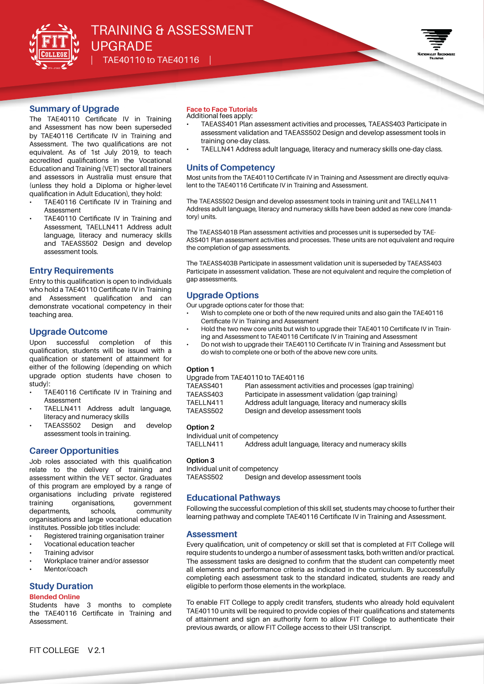



## **Summary of Upgrade**

The TAE40110 Certificate IV in Training and Assessment has now been superseded by TAE40116 Certificate IV in Training and Assessment. The two qualifications are not equivalent. As of 1st July 2019, to teach accredited qualifications in the Vocational Education and Training (VET) sector all trainers and assessors in Australia must ensure that (unless they hold a Diploma or higher-level qualification in Adult Education), they hold:

- TAE40116 Certificate IV in Training and Assessment
- TAE40110 Certificate IV in Training and Assessment, TAELLN411 Address adult language, literacy and numeracy skills and TAEASS502 Design and develop assessment tools.

#### **Entry Requirements**

Entry to this qualification is open to individuals who hold a TAE40110 Certificate IV in Training and Assessment qualification and can demonstrate vocational competency in their teaching area.

## **Upgrade Outcome**

Upon successful completion of this qualification, students will be issued with a qualification or statement of attainment for either of the following (depending on which upgrade option students have chosen to study):

- TAE40116 Certificate IV in Training and Assessment
- TAELLN411 Address adult language, literacy and numeracy skills
- TAEASS502 Design and develop assessment tools in training.

# **Career Opportunities**

Job roles associated with this qualification relate to the delivery of training and assessment within the VET sector. Graduates of this program are employed by a range of organisations including private registered training organisations, government departments, schools, community organisations and large vocational education institutes. Possible job titles include:

- Registered training organisation trainer
- Vocational education teacher
- Training advisor
- Workplace trainer and/or assessor
- Mentor/coach

## **Study Duration**

#### **Blended Online**

Students have 3 months to complete the TAE40116 Certificate in Training and Assessment.

## **Face to Face Tutorials**

- Additional fees apply: • TAEASS401 Plan assessment activities and processes, TAEASS403 Participate in
	- assessment validation and TAEASS502 Design and develop assessment tools in training one-day class.
	- TAELLN41 Address adult language, literacy and numeracy skills one-day class.

## **Units of Competency**

Most units from the TAE40110 Certificate IV in Training and Assessment are directly equivalent to the TAE40116 Certificate IV in Training and Assessment.

The TAEASS502 Design and develop assessment tools in training unit and TAELLN411 Address adult language, literacy and numeracy skills have been added as new core (mandatory) units.

The TAEASS401B Plan assessment activities and processes unit is superseded by TAE-ASS401 Plan assessment activities and processes. These units are not equivalent and require the completion of gap assessments.

The TAEASS403B Participate in assessment validation unit is superseded by TAEASS403 Participate in assessment validation. These are not equivalent and require the completion of gap assessments.

# **Upgrade Options**

Our upgrade options cater for those that:

- Wish to complete one or both of the new required units and also gain the TAE40116 Certificate IV in Training and Assessment
- Hold the two new core units but wish to upgrade their TAE40110 Certificate IV in Training and Assessment to TAE40116 Certificate IV in Training and Assessment
- Do not wish to upgrade their TAE40110 Certificate IV in Training and Assessment but do wish to complete one or both of the above new core units.

#### **Option 1**

Upgrade from TAE40110 to TAE40116

| TAEASS401 | Plan assessment activities and processes (gap training) |
|-----------|---------------------------------------------------------|
| TAEASS403 | Participate in assessment validation (gap training)     |
| TAELLN411 | Address adult language, literacy and numeracy skills    |
| TAEASS502 | Design and develop assessment tools                     |
|           |                                                         |

#### **Option 2**

```
Individual unit of competency
TAELLN411 Address adult language, literacy and numeracy skills
```
#### **Option 3**

Individual unit of competency TAEASS502 Design and develop assessment tools

## **Educational Pathways**

Following the successful completion of this skill set, students may choose to further their learning pathway and complete TAE40116 Certificate IV in Training and Assessment.

#### **Assessment**

Every qualification, unit of competency or skill set that is completed at FIT College will require students to undergo a number of assessment tasks, both written and/or practical. The assessment tasks are designed to confirm that the student can competently meet all elements and performance criteria as indicated in the curriculum. By successfully completing each assessment task to the standard indicated, students are ready and eligible to perform those elements in the workplace.

To enable FIT College to apply credit transfers, students who already hold equivalent TAE40110 units will be required to provide copies of their qualifications and statements of attainment and sign an authority form to allow FIT College to authenticate their previous awards, or allow FIT College access to their USI transcript.